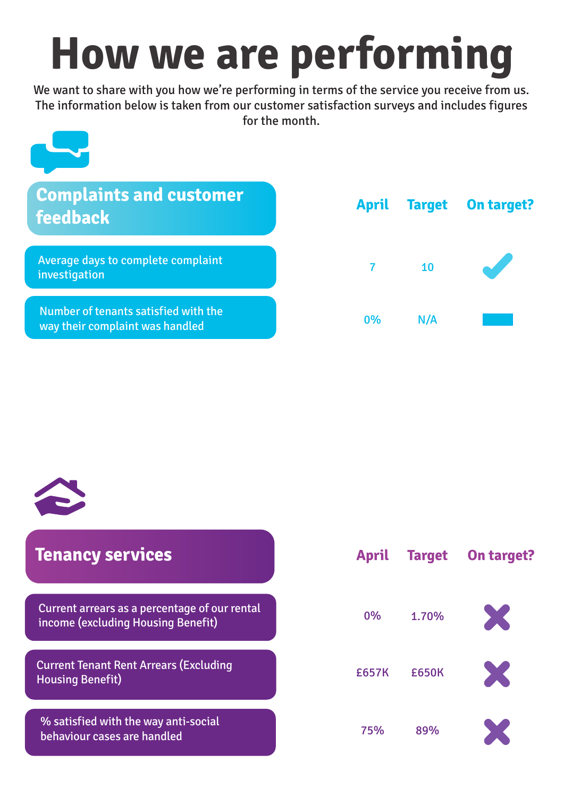## **How we are performing**

We want to share with you how we're performing in terms of the service you receive from us. The information below is taken from our customer satisfaction surveys and includes figures for the month.

## **Tenancy services**

X £657K £650K

Current arrears as a percentage of our rental income (excluding Housing Benefit)





Current Tenant Rent Arrears (Excluding Housing Benefit)

% satisfied with the way anti-social behaviour cases are handled

**April Target On target?**

0% 1.70%